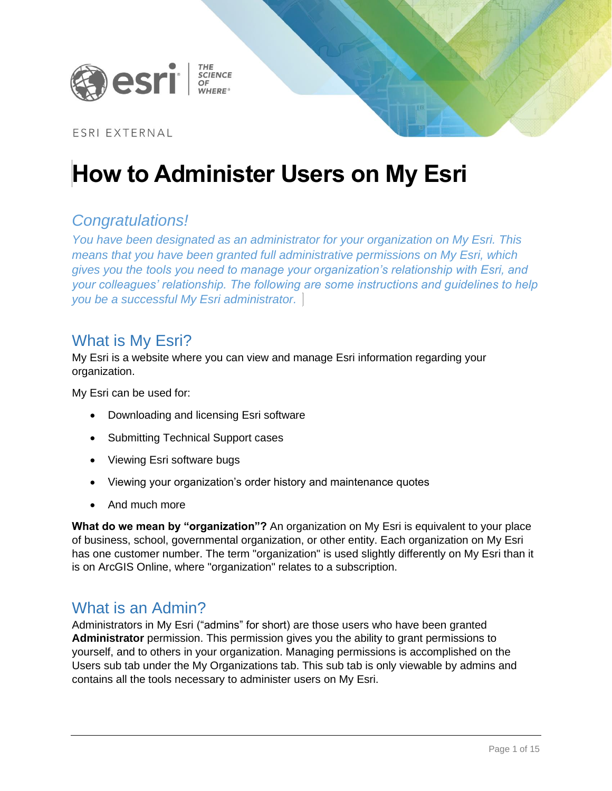

### ESRI EXTERNAL

# **How to Administer Users on My Esri**

## *Congratulations!*

*You have been designated as an administrator for your organization on My Esri. This means that you have been granted full administrative permissions on My Esri, which gives you the tools you need to manage your organization's relationship with Esri, and your colleagues' relationship. The following are some instructions and guidelines to help you be a successful My Esri administrator.*

## What is My Esri?

My Esri is a website where you can view and manage Esri information regarding your organization.

My Esri can be used for:

- Downloading and licensing Esri software
- Submitting Technical Support cases
- Viewing Esri software bugs
- Viewing your organization's order history and maintenance quotes
- And much more

**What do we mean by "organization"?** An organization on My Esri is equivalent to your place of business, school, governmental organization, or other entity. Each organization on My Esri has one customer number. The term "organization" is used slightly differently on My Esri than it is on ArcGIS Online, where "organization" relates to a subscription.

### What is an Admin?

Administrators in My Esri ("admins" for short) are those users who have been granted **Administrator** permission. This permission gives you the ability to grant permissions to yourself, and to others in your organization. Managing permissions is accomplished on the Users sub tab under the My Organizations tab. This sub tab is only viewable by admins and contains all the tools necessary to administer users on My Esri.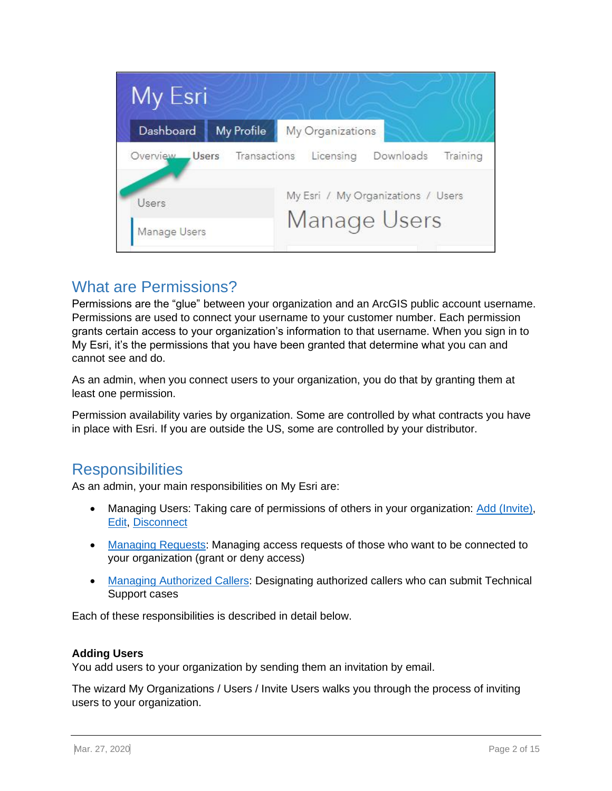| My Esri      |                    |                                    |
|--------------|--------------------|------------------------------------|
| Dashboard    | My Profile         | My Organizations                   |
| Overview     | Users Transactions | Licensing<br>Downloads<br>Training |
| Users        |                    | My Esri / My Organizations / Users |
| Manage Users |                    | Manage Users                       |

# What are Permissions?

Permissions are the "glue" between your organization and an ArcGIS public account username. Permissions are used to connect your username to your customer number. Each permission grants certain access to your organization's information to that username. When you sign in to My Esri, it's the permissions that you have been granted that determine what you can and cannot see and do.

As an admin, when you connect users to your organization, you do that by granting them at least one permission.

Permission availability varies by organization. Some are controlled by what contracts you have in place with Esri. If you are outside the US, some are controlled by your distributor.

## **Responsibilities**

As an admin, your main responsibilities on My Esri are:

- Managing Users: Taking care of permissions of others in your organization: [Add \(Invite\),](#page-1-0) [Edit,](#page-6-0) [Disconnect](#page-7-0)
- [Managing Requests:](#page-7-1) Managing access requests of those who want to be connected to your organization (grant or deny access)
- [Managing Authorized Callers:](#page-9-0) Designating authorized callers who can submit Technical Support cases

Each of these responsibilities is described in detail below.

#### <span id="page-1-0"></span>**Adding Users**

You add users to your organization by sending them an invitation by email.

The wizard My Organizations / Users / Invite Users walks you through the process of inviting users to your organization.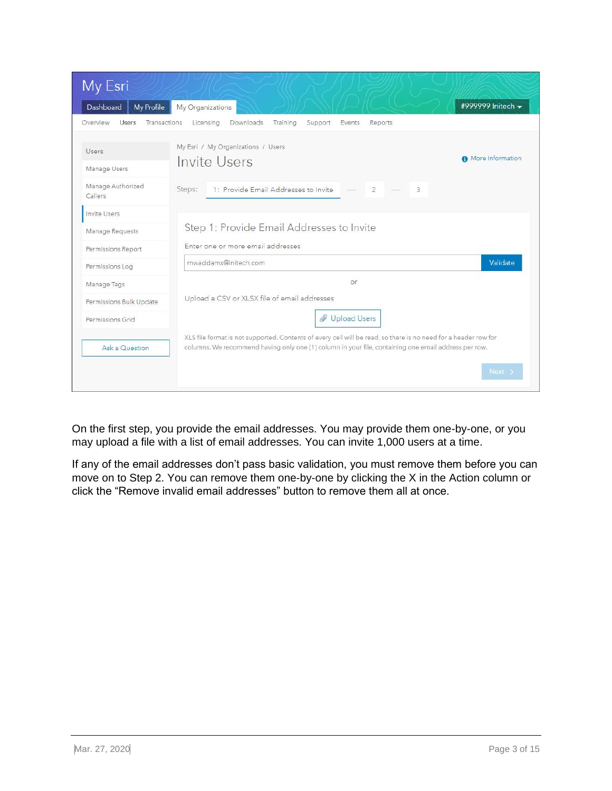| My Esri                                  |                                                                                                                                                                                                                         |                   |
|------------------------------------------|-------------------------------------------------------------------------------------------------------------------------------------------------------------------------------------------------------------------------|-------------------|
| Dashboard<br>My Profile                  | My Organizations                                                                                                                                                                                                        | #999999 Initech - |
| Overview<br><b>Users</b><br>Transactions | Downloads<br>Licensina<br>Training<br>Support<br>Events<br>Reports                                                                                                                                                      |                   |
| Users                                    | My Esri / My Organizations / Users                                                                                                                                                                                      | More Information  |
| Manage Users                             | Invite Users                                                                                                                                                                                                            |                   |
| Manage Authorized<br>Callers             | 1: Provide Email Addresses to Invite<br>3<br>Steps:<br>$\overline{2}$                                                                                                                                                   |                   |
| Invite Users                             |                                                                                                                                                                                                                         |                   |
| Manage Requests                          | Step 1: Provide Email Addresses to Invite                                                                                                                                                                               |                   |
| Permissions Report                       | Enter one or more email addresses                                                                                                                                                                                       |                   |
| Permissions Log                          | mwaddams@initech.com                                                                                                                                                                                                    | Validate          |
| Manage Tags                              | or                                                                                                                                                                                                                      |                   |
| Permissions Bulk Update                  | Upload a CSV or XLSX file of email addresses                                                                                                                                                                            |                   |
| Permissions Grid                         | Upload Users                                                                                                                                                                                                            |                   |
| Ask a Question                           | XLS file format is not supported. Contents of every cell will be read, so there is no need for a header row for<br>columns. We recommend having only one (1) column in your file, containing one email address per row. |                   |
|                                          |                                                                                                                                                                                                                         | Next :            |

On the first step, you provide the email addresses. You may provide them one-by-one, or you may upload a file with a list of email addresses. You can invite 1,000 users at a time.

If any of the email addresses don't pass basic validation, you must remove them before you can move on to Step 2. You can remove them one-by-one by clicking the X in the Action column or click the "Remove invalid email addresses" button to remove them all at once.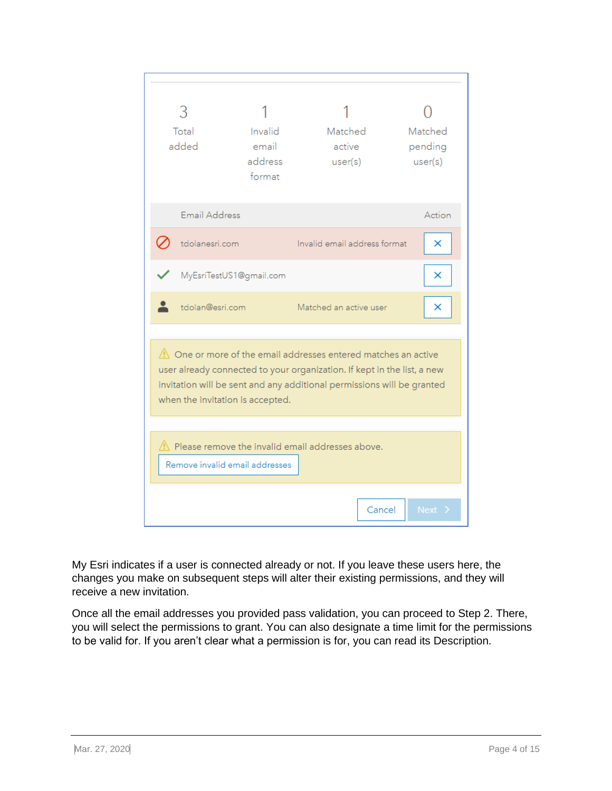| Total<br>added                                                                                                                                                                                                                                                    | Invalid<br>email<br>address<br>format | Matched<br>active<br>user(s) | Matched<br>pending<br>user(s) |  |
|-------------------------------------------------------------------------------------------------------------------------------------------------------------------------------------------------------------------------------------------------------------------|---------------------------------------|------------------------------|-------------------------------|--|
| <b>Email Address</b>                                                                                                                                                                                                                                              |                                       |                              | Action                        |  |
| tdolanesri.com                                                                                                                                                                                                                                                    |                                       | Invalid email address format | ×                             |  |
| MyEsriTestUS1@gmail.com                                                                                                                                                                                                                                           |                                       |                              | ×                             |  |
| tdolan@esri.com                                                                                                                                                                                                                                                   |                                       | Matched an active user       | ×                             |  |
| $\triangle$ One or more of the email addresses entered matches an active<br>user already connected to your organization. If kept in the list, a new<br>invitation will be sent and any additional permissions will be granted<br>when the invitation is accepted. |                                       |                              |                               |  |
| $\Lambda$ Please remove the invalid email addresses above.<br>Remove invalid email addresses                                                                                                                                                                      |                                       |                              |                               |  |
|                                                                                                                                                                                                                                                                   |                                       | Cancel                       | Next >                        |  |

My Esri indicates if a user is connected already or not. If you leave these users here, the changes you make on subsequent steps will alter their existing permissions, and they will receive a new invitation.

Once all the email addresses you provided pass validation, you can proceed to Step 2. There, you will select the permissions to grant. You can also designate a time limit for the permissions to be valid for. If you aren't clear what a permission is for, you can read its Description.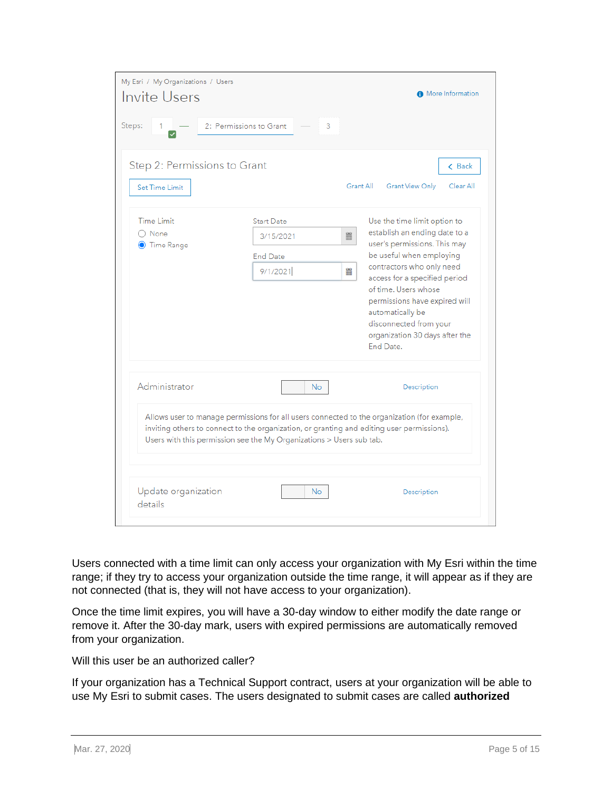| My Esri / My Organizations / Users<br><b>O</b> More Information<br>Invite Users |                                                                                                                                                                    |   |                                                                                                                                                    |  |  |  |
|---------------------------------------------------------------------------------|--------------------------------------------------------------------------------------------------------------------------------------------------------------------|---|----------------------------------------------------------------------------------------------------------------------------------------------------|--|--|--|
| Steps:                                                                          | 2: Permissions to Grant<br>3                                                                                                                                       |   |                                                                                                                                                    |  |  |  |
| Step 2: Permissions to Grant<br>Set Time Limit                                  |                                                                                                                                                                    |   | < Back<br>Grant All<br><b>Grant View Only</b><br>Clear All                                                                                         |  |  |  |
| <b>Time Limit</b>                                                               | <b>Start Date</b>                                                                                                                                                  |   | Use the time limit option to                                                                                                                       |  |  |  |
| $\bigcap$ None<br><b>O</b> Time Range                                           | 3/15/2021                                                                                                                                                          | 臝 | establish an ending date to a<br>user's permissions. This may                                                                                      |  |  |  |
|                                                                                 | <b>End Date</b>                                                                                                                                                    |   | be useful when employing                                                                                                                           |  |  |  |
|                                                                                 | 9/1/2021                                                                                                                                                           | 鼺 | contractors who only need<br>access for a specified period                                                                                         |  |  |  |
|                                                                                 |                                                                                                                                                                    |   | of time. Users whose<br>permissions have expired will<br>automatically be<br>disconnected from your<br>organization 30 days after the<br>End Date. |  |  |  |
| Administrator                                                                   | No.                                                                                                                                                                |   | Description                                                                                                                                        |  |  |  |
|                                                                                 | inviting others to connect to the organization, or granting and editing user permissions).<br>Users with this permission see the My Organizations > Users sub tab. |   | Allows user to manage permissions for all users connected to the organization (for example,                                                        |  |  |  |
| Update organization<br>details                                                  | No.                                                                                                                                                                |   | Description                                                                                                                                        |  |  |  |

Users connected with a time limit can only access your organization with My Esri within the time range; if they try to access your organization outside the time range, it will appear as if they are not connected (that is, they will not have access to your organization).

Once the time limit expires, you will have a 30-day window to either modify the date range or remove it. After the 30-day mark, users with expired permissions are automatically removed from your organization.

Will this user be an authorized caller?

If your organization has a Technical Support contract, users at your organization will be able to use My Esri to submit cases. The users designated to submit cases are called **authorized**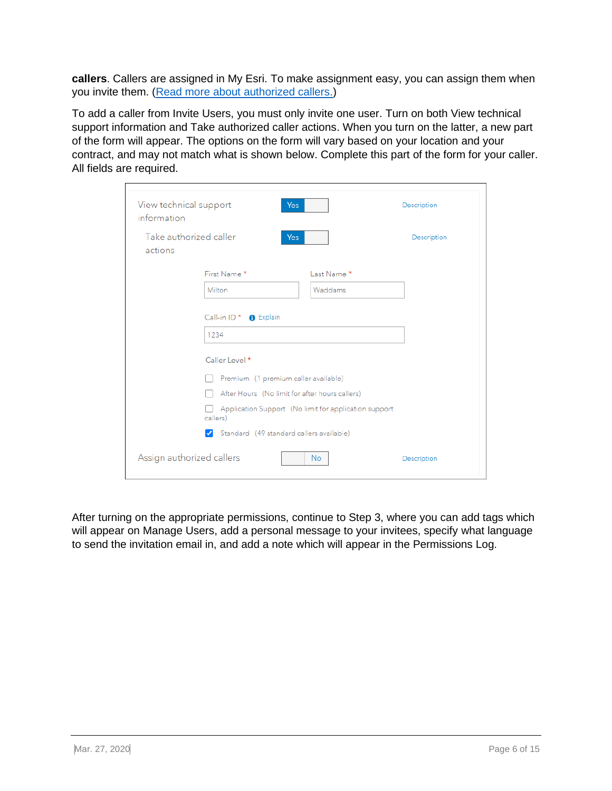**callers**. Callers are assigned in My Esri. To make assignment easy, you can assign them when you invite them. [\(Read more about authorized callers.\)](#page-9-0)

To add a caller from Invite Users, you must only invite one user. Turn on both View technical support information and Take authorized caller actions. When you turn on the latter, a new part of the form will appear. The options on the form will vary based on your location and your contract, and may not match what is shown below. Complete this part of the form for your caller. All fields are required.

| View technical support<br>information | Yes                                                          |                                                       | Description |
|---------------------------------------|--------------------------------------------------------------|-------------------------------------------------------|-------------|
| Take authorized caller<br>actions     | <b>Yes</b>                                                   |                                                       | Description |
|                                       | First Name*                                                  | Last Name *                                           |             |
|                                       | Milton                                                       | Waddams                                               |             |
|                                       | Call-in ID <sup>*</sup> <b>O</b> Explain                     |                                                       |             |
|                                       | 1234                                                         |                                                       |             |
|                                       | Caller Level *                                               |                                                       |             |
|                                       | Premium (1 premium caller available)                         |                                                       |             |
|                                       | After Hours (No limit for after hours callers)               |                                                       |             |
|                                       | callers)                                                     | Application Support (No limit for application support |             |
|                                       | Standard (49 standard callers available)<br>$\boldsymbol{J}$ |                                                       |             |
| Assign authorized callers             |                                                              | <b>No</b>                                             | Description |

After turning on the appropriate permissions, continue to Step 3, where you can add tags which will appear on Manage Users, add a personal message to your invitees, specify what language to send the invitation email in, and add a note which will appear in the Permissions Log.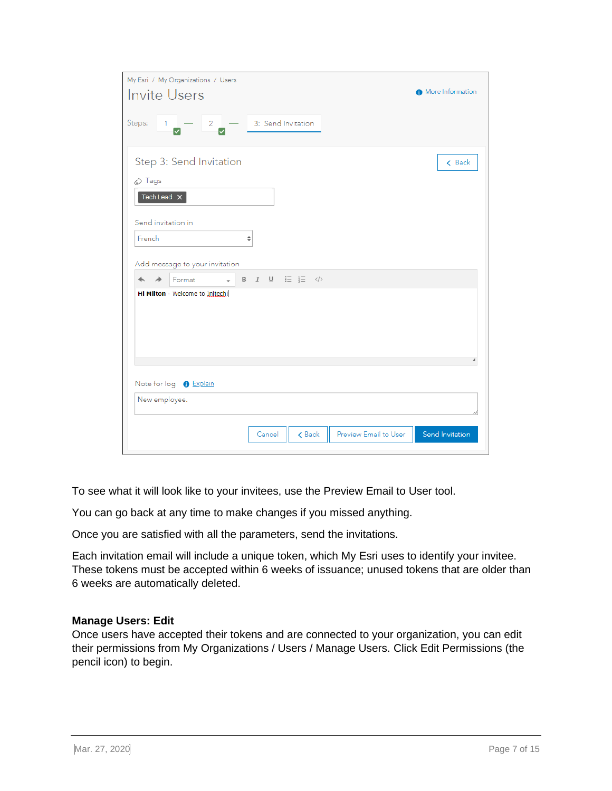| My Esri / My Organizations / Users                                                                       |                        |
|----------------------------------------------------------------------------------------------------------|------------------------|
| <b>Invite Users</b>                                                                                      | More Information       |
| Steps:<br>$\begin{array}{ c c c }\n\hline\n2 & - & 3: \text{Send Invitation}\n\end{array}$<br>$1 -$<br>▽ |                        |
| Step 3: Send Invitation<br>$\oslash$ Tags                                                                | < Back                 |
| Tech Lead X<br>Send invitation in                                                                        |                        |
| French<br>÷<br>Add message to your invitation                                                            |                        |
| B $I \cup \equiv \frac{1}{2}$ $\langle \rangle$<br>Format<br>$\overline{\phantom{a}}$<br>↠               |                        |
| Hi Milton - Welcome to Initech!                                                                          |                        |
| Note for log <b>O</b> Explain                                                                            |                        |
| New employee.                                                                                            |                        |
| Preview Email to User<br>Cancel<br>$\zeta$ Back                                                          | <b>Send Invitation</b> |

To see what it will look like to your invitees, use the Preview Email to User tool.

You can go back at any time to make changes if you missed anything.

Once you are satisfied with all the parameters, send the invitations.

Each invitation email will include a unique token, which My Esri uses to identify your invitee. These tokens must be accepted within 6 weeks of issuance; unused tokens that are older than 6 weeks are automatically deleted.

#### <span id="page-6-0"></span>**Manage Users: Edit**

Once users have accepted their tokens and are connected to your organization, you can edit their permissions from My Organizations / Users / Manage Users. Click Edit Permissions (the pencil icon) to begin.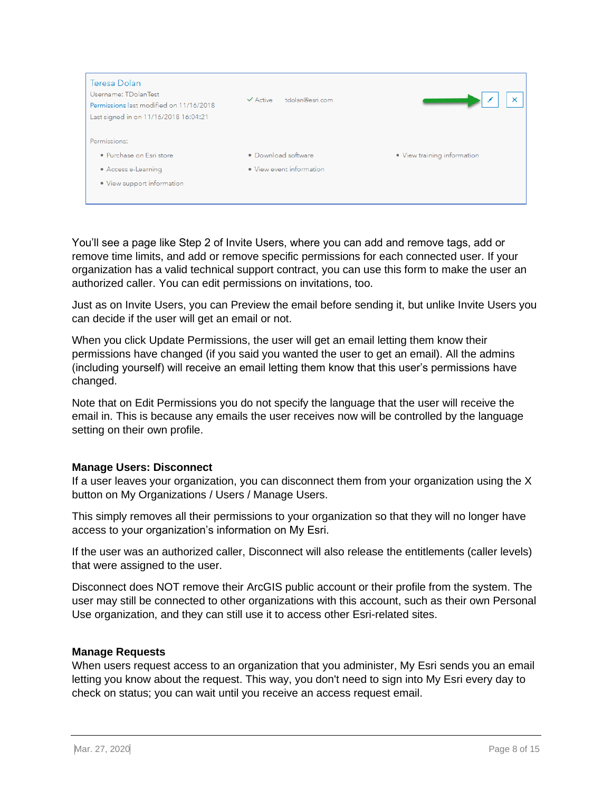

You'll see a page like Step 2 of Invite Users, where you can add and remove tags, add or remove time limits, and add or remove specific permissions for each connected user. If your organization has a valid technical support contract, you can use this form to make the user an authorized caller. You can edit permissions on invitations, too.

Just as on Invite Users, you can Preview the email before sending it, but unlike Invite Users you can decide if the user will get an email or not.

When you click Update Permissions, the user will get an email letting them know their permissions have changed (if you said you wanted the user to get an email). All the admins (including yourself) will receive an email letting them know that this user's permissions have changed.

Note that on Edit Permissions you do not specify the language that the user will receive the email in. This is because any emails the user receives now will be controlled by the language setting on their own profile.

#### <span id="page-7-0"></span>**Manage Users: Disconnect**

If a user leaves your organization, you can disconnect them from your organization using the X button on My Organizations / Users / Manage Users.

This simply removes all their permissions to your organization so that they will no longer have access to your organization's information on My Esri.

If the user was an authorized caller, Disconnect will also release the entitlements (caller levels) that were assigned to the user.

Disconnect does NOT remove their ArcGIS public account or their profile from the system. The user may still be connected to other organizations with this account, such as their own Personal Use organization, and they can still use it to access other Esri-related sites.

#### <span id="page-7-1"></span>**Manage Requests**

When users request access to an organization that you administer, My Esri sends you an email letting you know about the request. This way, you don't need to sign into My Esri every day to check on status; you can wait until you receive an access request email.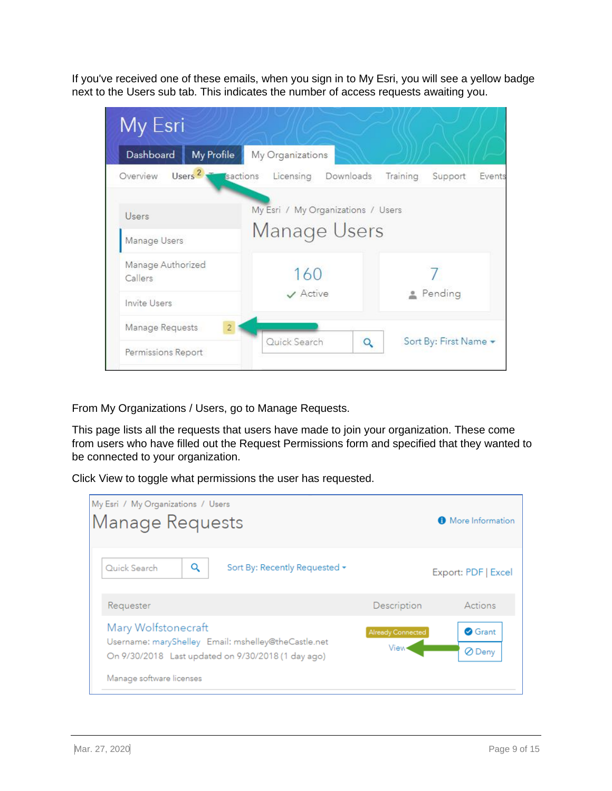If you've received one of these emails, when you sign in to My Esri, you will see a yellow badge next to the Users sub tab. This indicates the number of access requests awaiting you.

| My Esri                           |                                                          |                               |  |
|-----------------------------------|----------------------------------------------------------|-------------------------------|--|
| Dashboard<br>My Profile           | My Organizations                                         |                               |  |
| Overview                          | Users <sup>2</sup> <b>T</b> sactions Licensing Downloads | Training<br>Support<br>Events |  |
| Users<br>Manage Users             | My Esri / My Organizations / Users<br>Manage Users       |                               |  |
| Manage Authorized<br>Callers      | 160                                                      |                               |  |
| Invite Users                      | $\vee$ Active                                            | Pending                       |  |
| Manage Requests<br>$\overline{2}$ |                                                          |                               |  |
| Permissions Report                | Quick Search<br>Q                                        | Sort By: First Name -         |  |

From My Organizations / Users, go to Manage Requests.

This page lists all the requests that users have made to join your organization. These come from users who have filled out the Request Permissions form and specified that they wanted to be connected to your organization.

Click View to toggle what permissions the user has requested.

| My Esri / My Organizations / Users<br>Manage Requests                                                                                                        |                                     |                            | More Information         |
|--------------------------------------------------------------------------------------------------------------------------------------------------------------|-------------------------------------|----------------------------|--------------------------|
| Q<br>Quick Search                                                                                                                                            | Sort By: Recently Requested $\star$ |                            | Export: PDF   Excel      |
| Requester                                                                                                                                                    |                                     | Description                | Actions                  |
| Mary Wolfstonecraft<br>Username: maryShelley Email: mshelley@theCastle.net<br>On 9/30/2018 Last updated on 9/30/2018 (1 day ago)<br>Manage software licenses |                                     | Already Connected<br>View< | <b>O</b> Grant<br>⊘ Deny |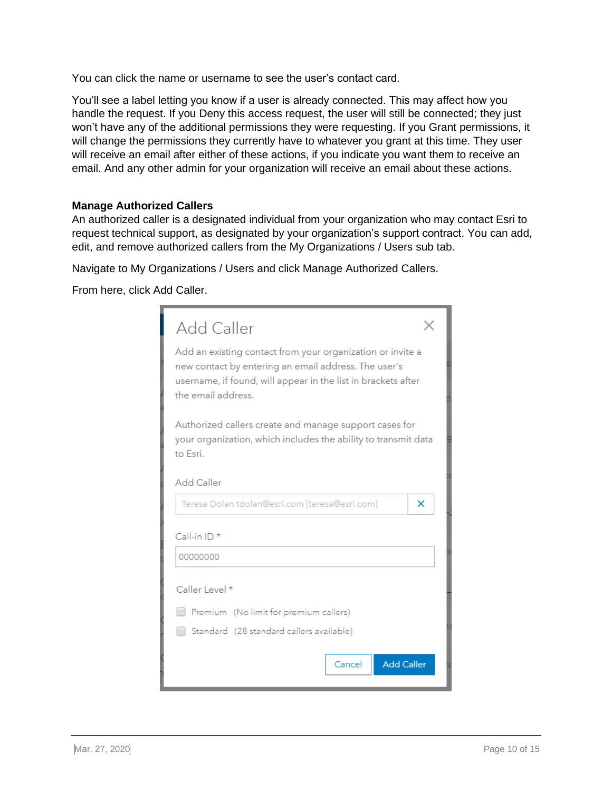You can click the name or username to see the user's contact card.

You'll see a label letting you know if a user is already connected. This may affect how you handle the request. If you Deny this access request, the user will still be connected; they just won't have any of the additional permissions they were requesting. If you Grant permissions, it will change the permissions they currently have to whatever you grant at this time. They user will receive an email after either of these actions, if you indicate you want them to receive an email. And any other admin for your organization will receive an email about these actions.

#### <span id="page-9-0"></span>**Manage Authorized Callers**

An authorized caller is a designated individual from your organization who may contact Esri to request technical support, as designated by your organization's support contract. You can add, edit, and remove authorized callers from the My Organizations / Users sub tab.

Navigate to My Organizations / Users and click Manage Authorized Callers.

From here, click Add Caller.

| Add Caller                                                                                                                                                                                                |  |  |
|-----------------------------------------------------------------------------------------------------------------------------------------------------------------------------------------------------------|--|--|
| Add an existing contact from your organization or invite a<br>new contact by entering an email address. The user's<br>username, if found, will appear in the list in brackets after<br>the email address. |  |  |
| Authorized callers create and manage support cases for<br>your organization, which includes the ability to transmit data<br>to Esri.                                                                      |  |  |
| Add Caller                                                                                                                                                                                                |  |  |
| Teresa Dolan tdolan@esri.com [teresa@esri.com]<br>×                                                                                                                                                       |  |  |
| Call-in ID *                                                                                                                                                                                              |  |  |
| 00000000                                                                                                                                                                                                  |  |  |
| Caller Level *                                                                                                                                                                                            |  |  |
| Premium (No limit for premium callers)                                                                                                                                                                    |  |  |
| Standard (28 standard callers available)                                                                                                                                                                  |  |  |
| <b>Add Caller</b><br>Cancel                                                                                                                                                                               |  |  |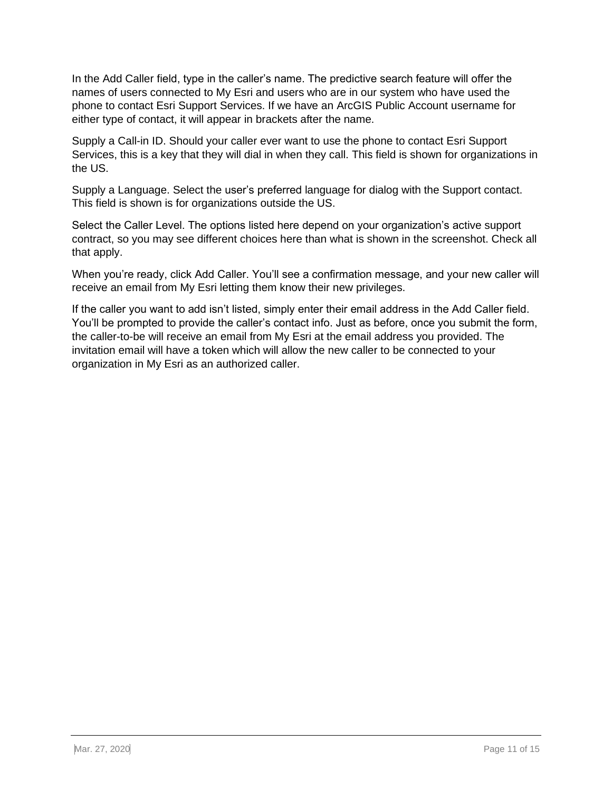In the Add Caller field, type in the caller's name. The predictive search feature will offer the names of users connected to My Esri and users who are in our system who have used the phone to contact Esri Support Services. If we have an ArcGIS Public Account username for either type of contact, it will appear in brackets after the name.

Supply a Call-in ID. Should your caller ever want to use the phone to contact Esri Support Services, this is a key that they will dial in when they call. This field is shown for organizations in the US.

Supply a Language. Select the user's preferred language for dialog with the Support contact. This field is shown is for organizations outside the US.

Select the Caller Level. The options listed here depend on your organization's active support contract, so you may see different choices here than what is shown in the screenshot. Check all that apply.

When you're ready, click Add Caller. You'll see a confirmation message, and your new caller will receive an email from My Esri letting them know their new privileges.

If the caller you want to add isn't listed, simply enter their email address in the Add Caller field. You'll be prompted to provide the caller's contact info. Just as before, once you submit the form, the caller-to-be will receive an email from My Esri at the email address you provided. The invitation email will have a token which will allow the new caller to be connected to your organization in My Esri as an authorized caller.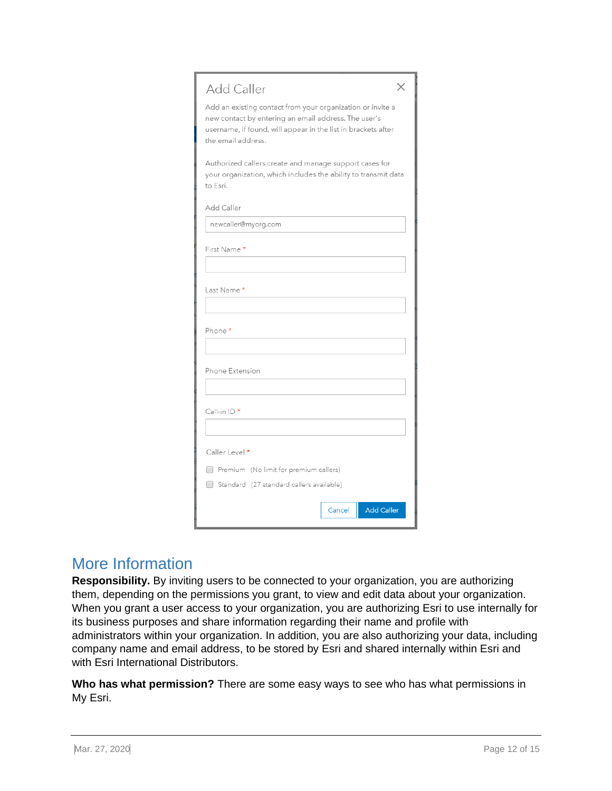| Add Caller                                                                                                                                                                                                |  |  |
|-----------------------------------------------------------------------------------------------------------------------------------------------------------------------------------------------------------|--|--|
| Add an existing contact from your organization or invite a<br>new contact by entering an email address. The user's<br>username, if found, will appear in the list in brackets after<br>the email address. |  |  |
| Authorized callers create and manage support cases for<br>your organization, which includes the ability to transmit data<br>to Esri.                                                                      |  |  |
| Add Caller                                                                                                                                                                                                |  |  |
| newcaller@myorg.com                                                                                                                                                                                       |  |  |
| First Name *                                                                                                                                                                                              |  |  |
| Last Name *                                                                                                                                                                                               |  |  |
| Phone *                                                                                                                                                                                                   |  |  |
| Phone Extension                                                                                                                                                                                           |  |  |
| Call-in ID *                                                                                                                                                                                              |  |  |
| Caller Level *                                                                                                                                                                                            |  |  |
| Premium (No limit for premium callers)                                                                                                                                                                    |  |  |
| Standard (27 standard callers available)                                                                                                                                                                  |  |  |
| <b>Add Caller</b><br>Cancel                                                                                                                                                                               |  |  |

### More Information

**Responsibility.** By inviting users to be connected to your organization, you are authorizing them, depending on the permissions you grant, to view and edit data about your organization. When you grant a user access to your organization, you are authorizing Esri to use internally for its business purposes and share information regarding their name and profile with administrators within your organization. In addition, you are also authorizing your data, including company name and email address, to be stored by Esri and shared internally within Esri and with Esri International Distributors.

**Who has what permission?** There are some easy ways to see who has what permissions in My Esri.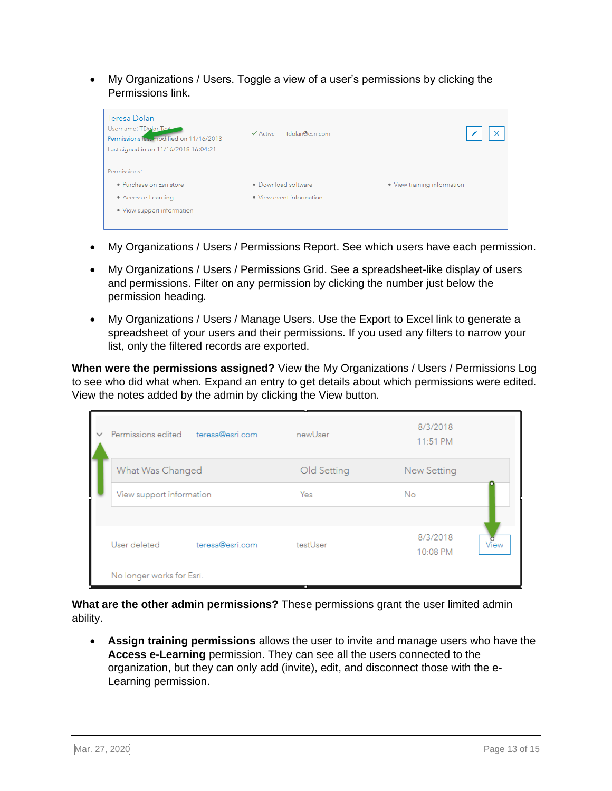• My Organizations / Users. Toggle a view of a user's permissions by clicking the Permissions link.

| Teresa Dolan<br>Username: TDolanTest<br>Permissions last modified on 11/16/2018<br>Last signed in on 11/16/2018 16:04:21 | tdolan@esri.com<br>$\checkmark$ Active |                             |
|--------------------------------------------------------------------------------------------------------------------------|----------------------------------------|-----------------------------|
| Permissions:<br>· Purchase on Esri store                                                                                 | • Download software                    | · View training information |
|                                                                                                                          |                                        |                             |
| • Access e-Learning                                                                                                      | • View event information               |                             |
| • View support information                                                                                               |                                        |                             |

- My Organizations / Users / Permissions Report. See which users have each permission.
- My Organizations / Users / Permissions Grid. See a spreadsheet-like display of users and permissions. Filter on any permission by clicking the number just below the permission heading.
- My Organizations / Users / Manage Users. Use the Export to Excel link to generate a spreadsheet of your users and their permissions. If you used any filters to narrow your list, only the filtered records are exported.

**When were the permissions assigned?** View the My Organizations / Users / Permissions Log to see who did what when. Expand an entry to get details about which permissions were edited. View the notes added by the admin by clicking the View button.

| $\checkmark$ | Permissions edited        | teresa@esri.com | newUser     | 8/3/2018<br>11:51 PM         |
|--------------|---------------------------|-----------------|-------------|------------------------------|
|              | What Was Changed          |                 | Old Setting | New Setting                  |
|              | View support information  |                 | Yes         | No.                          |
|              |                           |                 |             |                              |
|              | User deleted              | teresa@esri.com | testUser    | 8/3/2018<br>view<br>10:08 PM |
|              | No longer works for Esri. |                 | ш           |                              |

**What are the other admin permissions?** These permissions grant the user limited admin ability.

• **Assign training permissions** allows the user to invite and manage users who have the **Access e-Learning** permission. They can see all the users connected to the organization, but they can only add (invite), edit, and disconnect those with the e-Learning permission.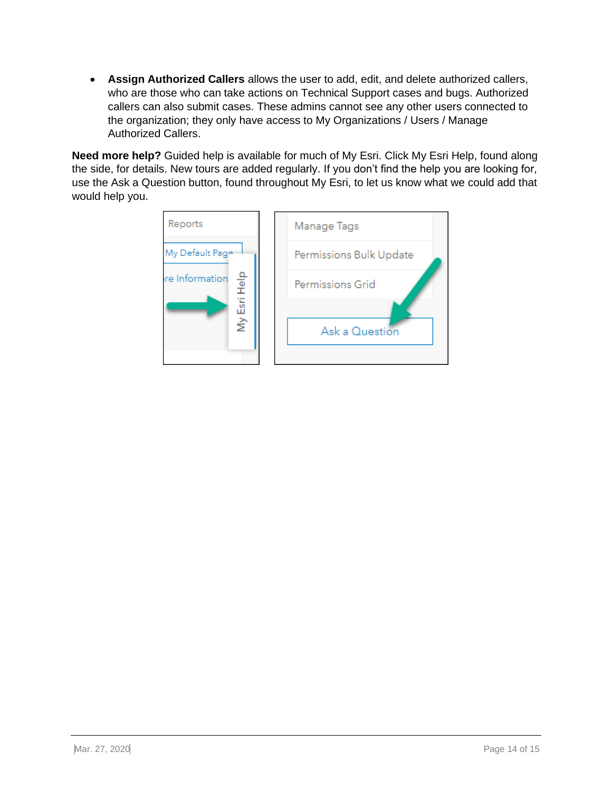• **Assign Authorized Callers** allows the user to add, edit, and delete authorized callers, who are those who can take actions on Technical Support cases and bugs. Authorized callers can also submit cases. These admins cannot see any other users connected to the organization; they only have access to My Organizations / Users / Manage Authorized Callers.

**Need more help?** Guided help is available for much of My Esri. Click My Esri Help, found along the side, for details. New tours are added regularly. If you don't find the help you are looking for, use the Ask a Question button, found throughout My Esri, to let us know what we could add that would help you.